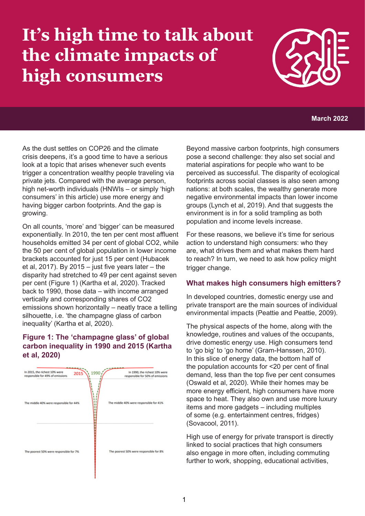# **It's high time to talk about the climate impacts of high consumers**



#### **March 2022**

As the dust settles on COP26 and the climate crisis deepens, it's a good time to have a serious look at a topic that arises whenever such events trigger a concentration wealthy people traveling via private jets. Compared with the average person, high net-worth individuals (HNWIs – or simply 'high consumers' in this article) use more energy and having bigger carbon footprints. And the gap is growing.

On all counts, 'more' and 'bigger' can be measured exponentially. In 2010, the ten per cent most affluent households emitted 34 per cent of global CO2, while the 50 per cent of global population in lower income brackets accounted for just 15 per cent (Hubacek et al, 2017). By 2015  $-$  just five years later  $-$  the disparity had stretched to 49 per cent against seven per cent (Figure 1) (Kartha et al, 2020). Tracked back to 1990, those data – with income arranged vertically and corresponding shares of CO2 emissions shown horizontally – neatly trace a telling silhouette, i.e. 'the champagne glass of carbon inequality' (Kartha et al, 2020).

#### **Figure 1: The 'champagne glass' of global carbon inequality in 1990 and 2015 (Kartha et al, 2020)**



Beyond massive carbon footprints, high consumers pose a second challenge: they also set social and material aspirations for people who want to be perceived as successful. The disparity of ecological footprints across social classes is also seen among nations: at both scales, the wealthy generate more negative environmental impacts than lower income groups (Lynch et al, 2019). And that suggests the environment is in for a solid trampling as both population and income levels increase.

For these reasons, we believe it's time for serious action to understand high consumers: who they are, what drives them and what makes them hard to reach? In turn, we need to ask how policy might trigger change.

#### **What makes high consumers high emitters?**

In developed countries, domestic energy use and private transport are the main sources of individual environmental impacts (Peattie and Peattie, 2009).

The physical aspects of the home, along with the knowledge, routines and values of the occupants, drive domestic energy use. High consumers tend to 'go big' to 'go home' (Gram-Hanssen, 2010). In this slice of energy data, the bottom half of the population accounts for <20 per cent of final demand, less than the top five per cent consumes (Oswald et al, 2020). While their homes may be more energy efficient, high consumers have more space to heat. They also own and use more luxury items and more gadgets – including multiples of some (e.g. entertainment centres, fridges) (Sovacool, 2011).

High use of energy for private transport is directly linked to social practices that high consumers also engage in more often, including commuting further to work, shopping, educational activities,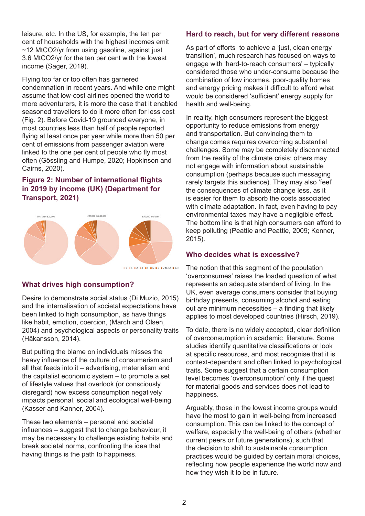leisure, etc. In the US, for example, the ten per cent of households with the highest incomes emit ~12 MtCO2/yr from using gasoline, against just 3.6 MtCO2/yr for the ten per cent with the lowest income (Sager, 2019).

Flying too far or too often has garnered condemnation in recent years. And while one might assume that low-cost airlines opened the world to more adventurers, it is more the case that it enabled seasoned travellers to do it more often for less cost (Fig. 2). Before Covid-19 grounded everyone, in most countries less than half of people reported flying at least once per year while more than 50 per cent of emissions from passenger aviation were linked to the one per cent of people who fly most often (Gössling and Humpe, 2020; Hopkinson and Cairns, 2020).

#### **Figure 2: Number of international flights in 2019 by income (UK) (Department for Transport, 2021)**



#### **What drives high consumption?**

Desire to demonstrate social status (Di Muzio, 2015) and the internalisation of societal expectations have been linked to high consumption, as have things like habit, emotion, coercion, (March and Olsen, 2004) and psychological aspects or personality traits (Håkansson, 2014).

But putting the blame on individuals misses the heavy influence of the culture of consumerism and all that feeds into it – advertising, materialism and the capitalist economic system – to promote a set of lifestyle values that overlook (or consciously disregard) how excess consumption negatively impacts personal, social and ecological well-being (Kasser and Kanner, 2004).

These two elements – personal and societal influences – suggest that to change behaviour, it may be necessary to challenge existing habits and break societal norms, confronting the idea that having things is the path to happiness.

#### **Hard to reach, but for very different reasons**

As part of efforts to achieve a 'just, clean energy transition', much research has focused on ways to engage with 'hard-to-reach consumers' – typically considered those who under-consume because the combination of low incomes, poor-quality homes and energy pricing makes it difficult to afford what would be considered 'sufficient' energy supply for health and well-being.

In reality, high consumers represent the biggest opportunity to reduce emissions from energy and transportation. But convincing them to change comes requires overcoming substantial challenges. Some may be completely disconnected from the reality of the climate crisis; others may not engage with information about sustainable consumption (perhaps because such messaging rarely targets this audience). They may also 'feel' the consequences of climate change less, as it is easier for them to absorb the costs associated with climate adaptation. In fact, even having to pay environmental taxes may have a negligible effect. The bottom line is that high consumers can afford to keep polluting (Peattie and Peattie, 2009; Kenner, 2015).

#### **Who decides what is excessive?**

The notion that this segment of the population 'overconsumes' raises the loaded question of what represents an adequate standard of living. In the UK, even average consumers consider that buying birthday presents, consuming alcohol and eating out are minimum necessities – a finding that likely applies to most developed countries (Hirsch, 2019).

To date, there is no widely accepted, clear definition of overconsumption in academic literature. Some studies identify quantitative classifications or look at specific resources, and most recognise that it is context-dependent and often linked to psychological traits. Some suggest that a certain consumption level becomes 'overconsumption' only if the quest for material goods and services does not lead to happiness.

Arguably, those in the lowest income groups would have the most to gain in well-being from increased consumption. This can be linked to the concept of welfare, especially the well-being of others (whether current peers or future generations), such that the decision to shift to sustainable consumption practices would be guided by certain moral choices, reflecting how people experience the world now and how they wish it to be in future.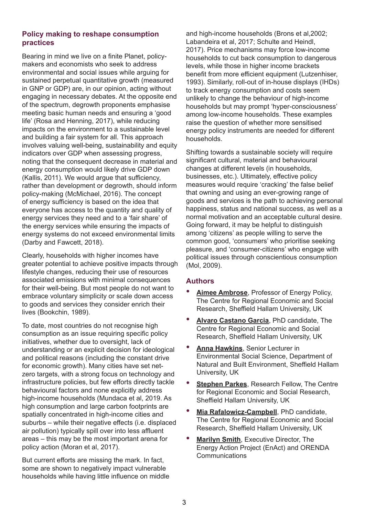#### **Policy making to reshape consumption practices**

Bearing in mind we live on a finite Planet, policymakers and economists who seek to address environmental and social issues while arguing for sustained perpetual quantitative growth (measured in GNP or GDP) are, in our opinion, acting without engaging in necessary debates. At the opposite end of the spectrum, degrowth proponents emphasise meeting basic human needs and ensuring a 'good life' (Rosa and Henning, 2017), while reducing impacts on the environment to a sustainable level and building a fair system for all. This approach involves valuing well-being, sustainability and equity indicators over GDP when assessing progress, noting that the consequent decrease in material and energy consumption would likely drive GDP down (Kallis, 2011). We would argue that sufficiency, rather than development or degrowth, should inform policy-making (McMichael, 2016). The concept of energy sufficiency is based on the idea that everyone has access to the quantity and quality of energy services they need and to a 'fair share' of the energy services while ensuring the impacts of energy systems do not exceed environmental limits (Darby and Fawcett, 2018).

Clearly, households with higher incomes have greater potential to achieve positive impacts through lifestyle changes, reducing their use of resources associated emissions with minimal consequences for their well-being. But most people do not want to embrace voluntary simplicity or scale down access to goods and services they consider enrich their lives (Bookchin, 1989).

To date, most countries do not recognise high consumption as an issue requiring specific policy initiatives, whether due to oversight, lack of understanding or an explicit decision for ideological and political reasons (including the constant drive for economic growth). Many cities have set netzero targets, with a strong focus on technology and infrastructure policies, but few efforts directly tackle behavioural factors and none explicitly address high-income households (Mundaca et al, 2019. As high consumption and large carbon footprints are spatially concentrated in high-income cities and suburbs – while their negative effects (i.e. displaced air pollution) typically spill over into less affluent areas – this may be the most important arena for policy action (Moran et al, 2017).

But current efforts are missing the mark. In fact, some are shown to negatively impact vulnerable households while having little influence on middle and high-income households (Brons et al,2002; Labandeira et al, 2017; Schulte and Heindl, 2017). Price mechanisms may force low-income households to cut back consumption to dangerous levels, while those in higher income brackets benefit from more efficient equipment (Lutzenhiser, 1993). Similarly, roll-out of in-house displays (IHDs) to track energy consumption and costs seem unlikely to change the behaviour of high-income households but may prompt 'hyper-consciousness' among low-income households. These examples raise the question of whether more sensitised energy policy instruments are needed for different households.

Shifting towards a sustainable society will require significant cultural, material and behavioural changes at different levels (in households, businesses, etc.). Ultimately, effective policy measures would require 'cracking' the false belief that owning and using an ever-growing range of goods and services is the path to achieving personal happiness, status and national success, as well as a normal motivation and an acceptable cultural desire. Going forward, it may be helpful to distinguish among 'citizens' as people willing to serve the common good, 'consumers' who prioritise seeking pleasure, and 'consumer-citizens' who engage with political issues through conscientious consumption (Mol, 2009).

#### **Authors**

- **[Aimee Ambrose](https://www.shu.ac.uk/about-us/our-people/staff-profiles/aimee-ambrose)**, Professor of Energy Policy, The Centre for Regional Economic and Social Research, Sheffield Hallam University, UK
- **[Alvaro Castano Garcia](https://www.shu.ac.uk/centre-regional-economic-social-research/about-us/postgraduate-research/current-students/alvaro-castano-garcia)**, PhD candidate, The Centre for Regional Economic and Social Research, Sheffield Hallam University, UK
- **[Anna Hawkins](https://www.shu.ac.uk/about-us/our-people/staff-profiles/anna-hawkins)**, Senior Lecturer in Environmental Social Science, Department of Natural and Built Environment, Sheffield Hallam University, UK
- **[Stephen Parkes](https://www.shu.ac.uk/about-us/our-people/staff-profiles/stephen-parkes), Research Fellow, The Centre** for Regional Economic and Social Research, Sheffield Hallam University, UK
- **[Mia Rafalowicz-Campbell](https://www.shu.ac.uk/centre-regional-economic-social-research/about-us/postgraduate-research/current-students/mia-rafalowicz-campbell)**, PhD candidate, The Centre for Regional Economic and Social Research, Sheffield Hallam University, UK
- **[Marilyn Smith](https://www.linkedin.com/in/marilyn-smith-89b27a4/)**, Executive Director, The Energy Action Project (EnAct) and ORENDA **Communications**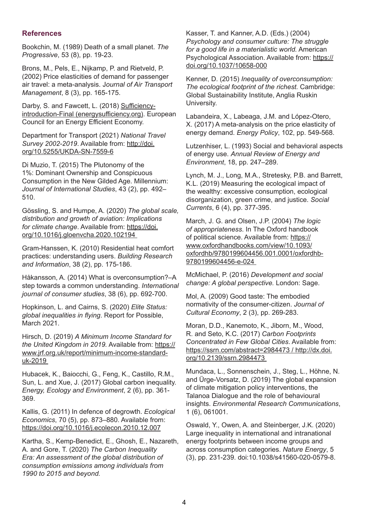#### **References**

Bookchin, M. (1989) Death of a small planet. *The Progressive*, 53 (8), pp. 19-23.

Brons, M., Pels, E., Nijkamp, P. and Rietveld, P. (2002) Price elasticities of demand for passenger air travel: a meta-analysis. J*ournal of Air Transport Management*, 8 (3), pp. 165-175.

Darby, S. and Fawcett, L. (2018) [Sufficiency](https://www.energysufficiency.org/static/media/uploads/site-8/library/papers/sufficiency-introduction-final-oct2018.pdf)[introduction-Final \(energysufficiency.org](https://www.energysufficiency.org/static/media/uploads/site-8/library/papers/sufficiency-introduction-final-oct2018.pdf)). European Council for an Energy Efficient Economy.

Department for Transport (2021) *National Travel Survey 2002-2019*. Available from: [http://doi.](http://doi.org/10.5255/UKDA-SN-7559-6) [org/10.5255/UKDA-SN-7559-6](http://doi.org/10.5255/UKDA-SN-7559-6)

Di Muzio, T. (2015) The Plutonomy of the 1%: Dominant Ownership and Conspicuous Consumption in the New Gilded Age. Millennium: *Journal of International Studies*, 43 (2), pp. 492– 510.

Gössling, S. and Humpe, A. (2020) *The global scale, distribution and growth of aviation: Implications for climate change*. Available from: [https://doi.](https://doi.org/10.1016/j.gloenvcha.2020.102194 ) [org/10.1016/j.gloenvcha.2020.102194](https://doi.org/10.1016/j.gloenvcha.2020.102194 ) 

Gram-Hanssen, K. (2010) Residential heat comfort practices: understanding users. *Building Research and Information*, 38 (2), pp. 175-186.

Håkansson, A. (2014) What is overconsumption?–A step towards a common understanding. *International journal of consumer studies*, 38 (6), pp. 692-700.

Hopkinson, L. and Cairns, S. (2020) *Elite Status: global inequalities in flying*. Report for Possible, March 2021.

Hirsch, D. (2019) *A Minimum Income Standard for the United Kingdom in 2019.* Available from: [https://](https://www.jrf.org.uk/report/minimum-income-standard-uk-2019 ) [www.jrf.org.uk/report/minimum-income-standard](https://www.jrf.org.uk/report/minimum-income-standard-uk-2019 )[uk-2019](https://www.jrf.org.uk/report/minimum-income-standard-uk-2019 ) 

Hubacek, K., Baiocchi, G., Feng, K., Castillo, R.M., Sun, L. and Xue, J. (2017) Global carbon inequality. *Energy, Ecology and Environment*, 2 (6), pp. 361- 369.

Kallis, G. (2011) In defence of degrowth. *Ecological Economics*, 70 (5), pp. 873–880. Available from: <https://doi.org/10.1016/j.ecolecon.2010.12.007>

Kartha, S., Kemp-Benedict, E., Ghosh, E., Nazareth, A. and Gore, T. (2020) *The Carbon Inequality Era: An assessment of the global distribution of consumption emissions among individuals from 1990 to 2015 and beyond.*

Kasser, T. and Kanner, A.D. (Eds.) (2004) *Psychology and consumer culture: The struggle for a good life in a materialistic world.* American Psychological Association. Available from: [https://](https://doi.org/10.1037/10658-000) [doi.org/10.1037/10658-000](https://doi.org/10.1037/10658-000)

Kenner, D. (2015) *Inequality of overconsumption: The ecological footprint of the richest.* Cambridge: Global Sustainability Institute, Anglia Ruskin University.

Labandeira, X., Labeaga, J.M. and López-Otero, X. (2017) A meta-analysis on the price elasticity of energy demand. *Energy Policy*, 102, pp. 549-568.

Lutzenhiser, L. (1993) Social and behavioral aspects of energy use. *Annual Review of Energy and Environment*, 18, pp. 247–289.

Lynch, M. J., Long, M.A., Stretesky, P.B. and Barrett, K.L. (2019) Measuring the ecological impact of the wealthy: excessive consumption, ecological disorganization, green crime, and justice. *Social Currents*, 6 (4), pp. 377-395.

March, J. G. and Olsen, J.P. (2004) *The logic of appropriateness*. In The Oxford handbook of political science. Available from: [https://](https://www.oxfordhandbooks.com/view/10.1093/oxfordhb/9780199604456.001.0001/oxfordhb-9780199604456-) [www.oxfordhandbooks.com/view/10.1093/](https://www.oxfordhandbooks.com/view/10.1093/oxfordhb/9780199604456.001.0001/oxfordhb-9780199604456-) [oxfordhb/9780199604456.001.0001/oxfordhb-](https://www.oxfordhandbooks.com/view/10.1093/oxfordhb/9780199604456.001.0001/oxfordhb-9780199604456-)[9780199604456-e-024](https://www.oxfordhandbooks.com/view/10.1093/oxfordhb/9780199604456.001.0001/oxfordhb-9780199604456-) 

McMichael, P. (2016) *Development and social change: A global perspective.* London: Sage.

Mol, A. (2009) Good taste: The embodied normativity of the consumer-citizen. *Journal of Cultural Economy*, 2 (3), pp. 269-283.

Moran, D.D., Kanemoto, K., Jiborn, M., Wood, R. and Seto, K.C. (2017) *Carbon Footprints Concentrated in Few Global Cities*. Available from: [https://ssrn.com/abstract=2984473 / http://dx.doi.](https://ssrn.com/abstract=2984473 / http://dx.doi.org/10.2139/ssrn.2984473 ) [org/10.2139/ssrn.2984473](https://ssrn.com/abstract=2984473 / http://dx.doi.org/10.2139/ssrn.2984473 ) 

Mundaca, L., Sonnenschein, J., Steg, L., Höhne, N. and Ürge-Vorsatz, D. (2019) The global expansion of climate mitigation policy interventions, the Talanoa Dialogue and the role of behavioural insights. *Environmental Research Communications*, 1 (6), 061001.

Oswald, Y., Owen, A. and Steinberger, J.K. (2020) Large inequality in international and intranational energy footprints between income groups and across consumption categories. *Nature Energy*, 5 (3), pp. 231-239. doi:10.1038/s41560-020-0579-8.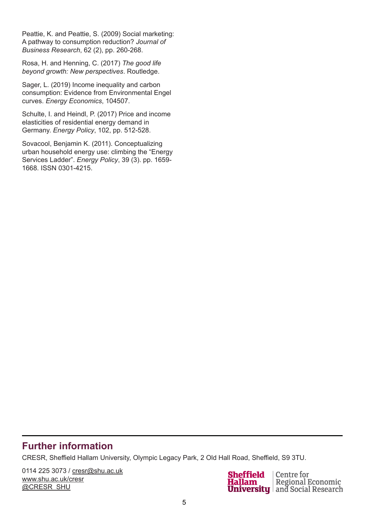Peattie, K. and Peattie, S. (2009) Social marketing: A pathway to consumption reduction? *Journal of Business Research*, 62 (2), pp. 260-268.

Rosa, H. and Henning, C. (2017) *The good life beyond growth: New perspectives*. Routledge.

Sager, L. (2019) Income inequality and carbon consumption: Evidence from Environmental Engel curves. *Energy Economics*, 104507.

Schulte, I. and Heindl, P. (2017) Price and income elasticities of residential energy demand in Germany. *Energy Policy*, 102, pp. 512-528.

Sovacool, Benjamin K. (2011). Conceptualizing urban household energy use: climbing the "Energy Services Ladder". *Energy Policy*, 39 (3). pp. 1659- 1668. ISSN 0301-4215.

## **Further information**

CRESR, Sheffield Hallam University, Olympic Legacy Park, 2 Old Hall Road, Sheffield, S9 3TU.

0114 225 3073 / [cresr@shu.ac.uk](mailto:cresr%40shu.ac.uk?subject=) [www.shu.ac.uk/cresr](http://www.shu.ac.uk/cresr) @CRESR\_SHU